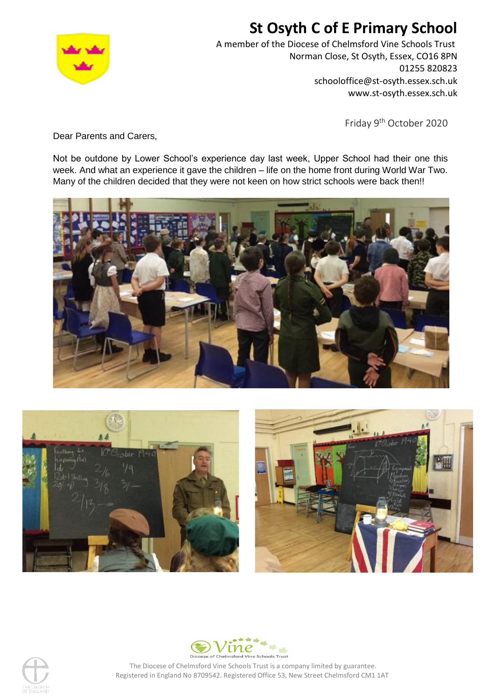

# **St Osyth C of E Primary School**

A member of the Diocese of Chelmsford Vine Schools Trust Norman Close, St Osyth, Essex, CO16 8PN 01255 820823 schooloffice@st-osyth.essex.sch.uk www.st-osyth.essex.sch.uk

Friday 9<sup>th</sup> October 2020

Dear Parents and Carers,

Not be outdone by Lower School's experience day last week, Upper School had their one this week. And what an experience it gave the children – life on the home front during World War Two. Many of the children decided that they were not keen on how strict schools were back then!!









The Diocese of Chelmsford Vine Schools Trust is a company limited by guarantee. Registered in England No 8709542. Registered Office 53, New Street Chelmsford CM1 1AT